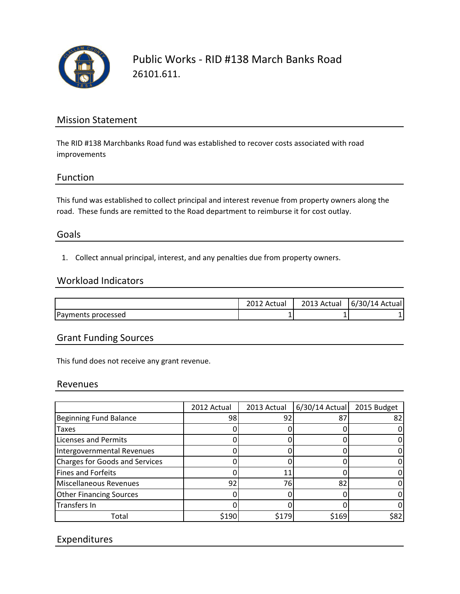

Public Works - RID #138 March Banks Road 26101.611.

## Mission Statement

The RID #138 Marchbanks Road fund was established to recover costs associated with road improvements

## Function

This fund was established to collect principal and interest revenue from property owners along the road. These funds are remitted to the Road department to reimburse it for cost outlay.

## Goals

1. Collect annual principal, interest, and any penalties due from property owners.

#### Workload Indicators

|                    | Actual | 2013 Actual | $6/30/14$ Actual |
|--------------------|--------|-------------|------------------|
| Payments processed |        |             |                  |

## Grant Funding Sources

This fund does not receive any grant revenue.

#### Revenues

|                                       | 2012 Actual | 2013 Actual | $6/30/14$ Actual | 2015 Budget |
|---------------------------------------|-------------|-------------|------------------|-------------|
| <b>Beginning Fund Balance</b>         | 98          | 92          | 87               | 82          |
| <b>Taxes</b>                          |             |             |                  |             |
| <b>Licenses and Permits</b>           |             |             |                  |             |
| Intergovernmental Revenues            |             |             |                  |             |
| <b>Charges for Goods and Services</b> |             |             |                  |             |
| <b>Fines and Forfeits</b>             |             |             |                  |             |
| Miscellaneous Revenues                | 92          | 76          | 82               |             |
| <b>Other Financing Sources</b>        |             |             |                  |             |
| Transfers In                          |             |             |                  |             |
| Total                                 | \$190       | \$179       | \$169            | \$82        |

# Expenditures